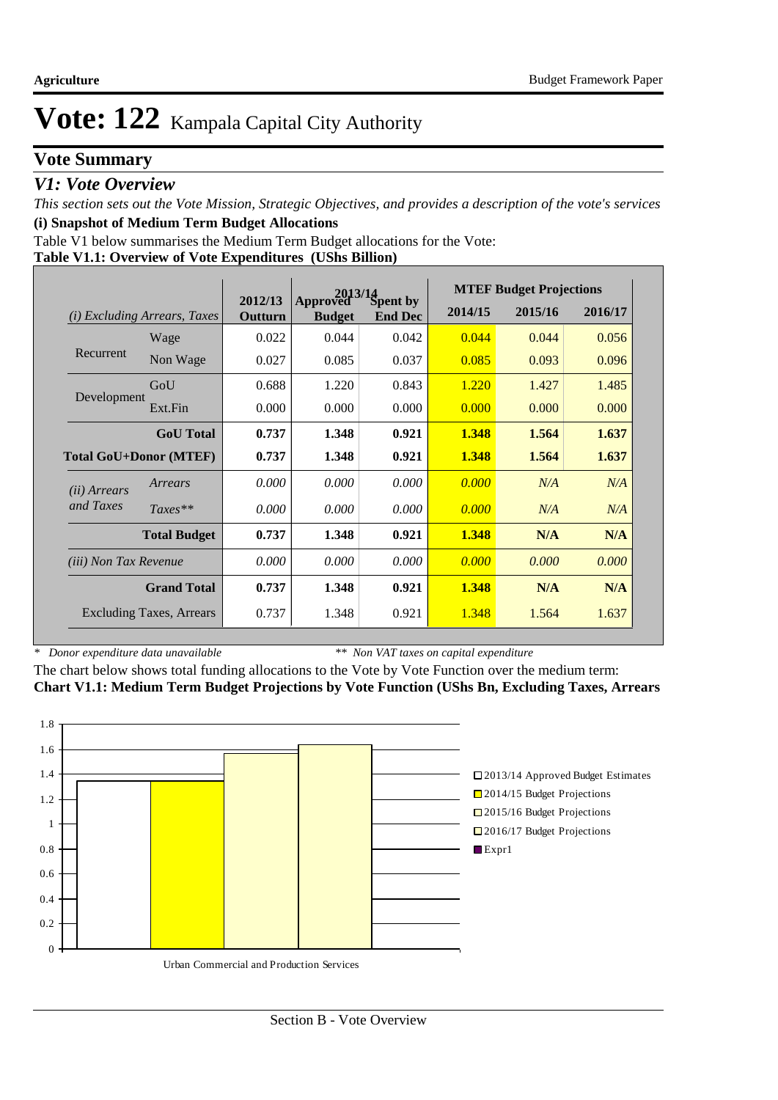# **Vote Summary**

### *V1: Vote Overview*

*This section sets out the Vote Mission, Strategic Objectives, and provides a description of the vote's services* **(i) Snapshot of Medium Term Budget Allocations** 

Table V1 below summarises the Medium Term Budget allocations for the Vote:

#### **Table V1.1: Overview of Vote Expenditures (UShs Billion)**

|                                        |                                 |                    |                           | $2013/14$<br>ved Spent by | <b>MTEF Budget Projections</b> |         |         |
|----------------------------------------|---------------------------------|--------------------|---------------------------|---------------------------|--------------------------------|---------|---------|
| <i>Excluding Arrears, Taxes</i><br>(i) |                                 | 2012/13<br>Outturn | Approved<br><b>Budget</b> | <b>End Dec</b>            | 2014/15                        | 2015/16 | 2016/17 |
| Recurrent                              | Wage                            | 0.022              | 0.044                     | 0.042                     | 0.044                          | 0.044   | 0.056   |
|                                        | Non Wage                        | 0.027              | 0.085                     | 0.037                     | 0.085                          | 0.093   | 0.096   |
|                                        | GoU                             | 0.688              | 1.220                     | 0.843                     | 1.220                          | 1.427   | 1.485   |
| Development                            | Ext.Fin                         | 0.000              | 0.000                     | 0.000                     | 0.000                          | 0.000   | 0.000   |
|                                        | <b>GoU</b> Total                | 0.737              | 1.348                     | 0.921                     | 1.348                          | 1.564   | 1.637   |
| <b>Total GoU+Donor (MTEF)</b>          |                                 | 0.737              | 1.348                     | 0.921                     | 1.348                          | 1.564   | 1.637   |
| ( <i>ii</i> ) Arrears                  | Arrears                         | 0.000              | 0.000                     | 0.000                     | 0.000                          | N/A     | N/A     |
| and Taxes                              | $Taxes**$                       | 0.000              | 0.000                     | 0.000                     | 0.000                          | N/A     | N/A     |
|                                        | <b>Total Budget</b>             | 0.737              | 1.348                     | 0.921                     | 1.348                          | N/A     | N/A     |
| <i>(iii)</i> Non Tax Revenue           |                                 | 0.000              | 0.000                     | 0.000                     | 0.000                          | 0.000   | 0.000   |
|                                        | <b>Grand Total</b>              | 0.737              | 1.348                     | 0.921                     | 1.348                          | N/A     | N/A     |
|                                        | <b>Excluding Taxes, Arrears</b> | 0.737              | 1.348                     | 0.921                     | 1.348                          | 1.564   | 1.637   |

*\* Donor expenditure data unavailable*

*\*\* Non VAT taxes on capital expenditure*

The chart below shows total funding allocations to the Vote by Vote Function over the medium term: **Chart V1.1: Medium Term Budget Projections by Vote Function (UShs Bn, Excluding Taxes, Arrears**

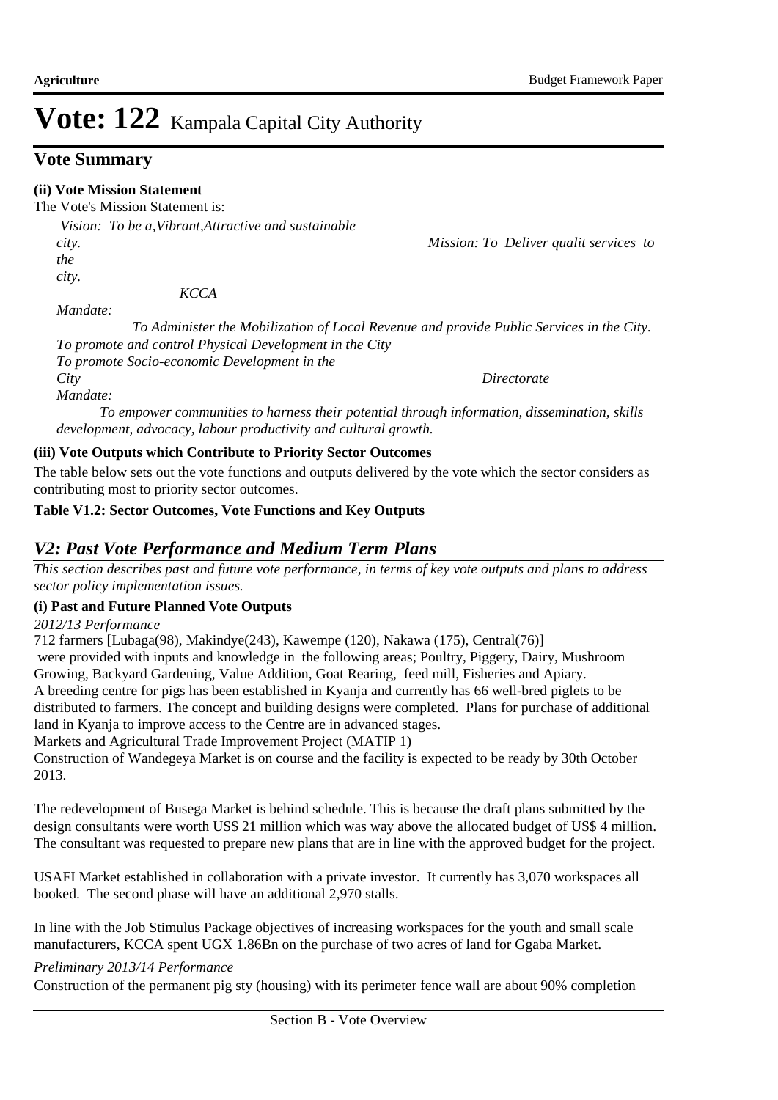### **Vote Summary**

### **(ii) Vote Mission Statement**

The Vote's Mission Statement is:

 *Vision: To be a,Vibrant,Attractive and sustainable city. Mission: To Deliver qualit services to the city.* 

 *KCCA* 

*Mandate:* 

 *To Administer the Mobilization of Local Revenue and provide Public Services in the City. To promote and control Physical Development in the City To promote Socio-economic Development in the City Directorate* 

*Mandate:* 

 *To empower communities to harness their potential through information, dissemination, skills development, advocacy, labour productivity and cultural growth.*

### **(iii) Vote Outputs which Contribute to Priority Sector Outcomes**

The table below sets out the vote functions and outputs delivered by the vote which the sector considers as contributing most to priority sector outcomes.

### **Table V1.2: Sector Outcomes, Vote Functions and Key Outputs**

### *V2: Past Vote Performance and Medium Term Plans*

*This section describes past and future vote performance, in terms of key vote outputs and plans to address sector policy implementation issues.* 

### **(i) Past and Future Planned Vote Outputs**

*2012/13 Performance*

712 farmers [Lubaga(98), Makindye(243), Kawempe (120), Nakawa (175), Central(76)]

 were provided with inputs and knowledge in the following areas; Poultry, Piggery, Dairy, Mushroom Growing, Backyard Gardening, Value Addition, Goat Rearing, feed mill, Fisheries and Apiary. A breeding centre for pigs has been established in Kyanja and currently has 66 well-bred piglets to be

distributed to farmers. The concept and building designs were completed. Plans for purchase of additional land in Kyanja to improve access to the Centre are in advanced stages.

Markets and Agricultural Trade Improvement Project (MATIP 1)

Construction of Wandegeya Market is on course and the facility is expected to be ready by 30th October 2013.

The redevelopment of Busega Market is behind schedule. This is because the draft plans submitted by the design consultants were worth US\$ 21 million which was way above the allocated budget of US\$ 4 million. The consultant was requested to prepare new plans that are in line with the approved budget for the project.

USAFI Market established in collaboration with a private investor. It currently has 3,070 workspaces all booked. The second phase will have an additional 2,970 stalls.

In line with the Job Stimulus Package objectives of increasing workspaces for the youth and small scale manufacturers, KCCA spent UGX 1.86Bn on the purchase of two acres of land for Ggaba Market.

### *Preliminary 2013/14 Performance*

Construction of the permanent pig sty (housing) with its perimeter fence wall are about 90% completion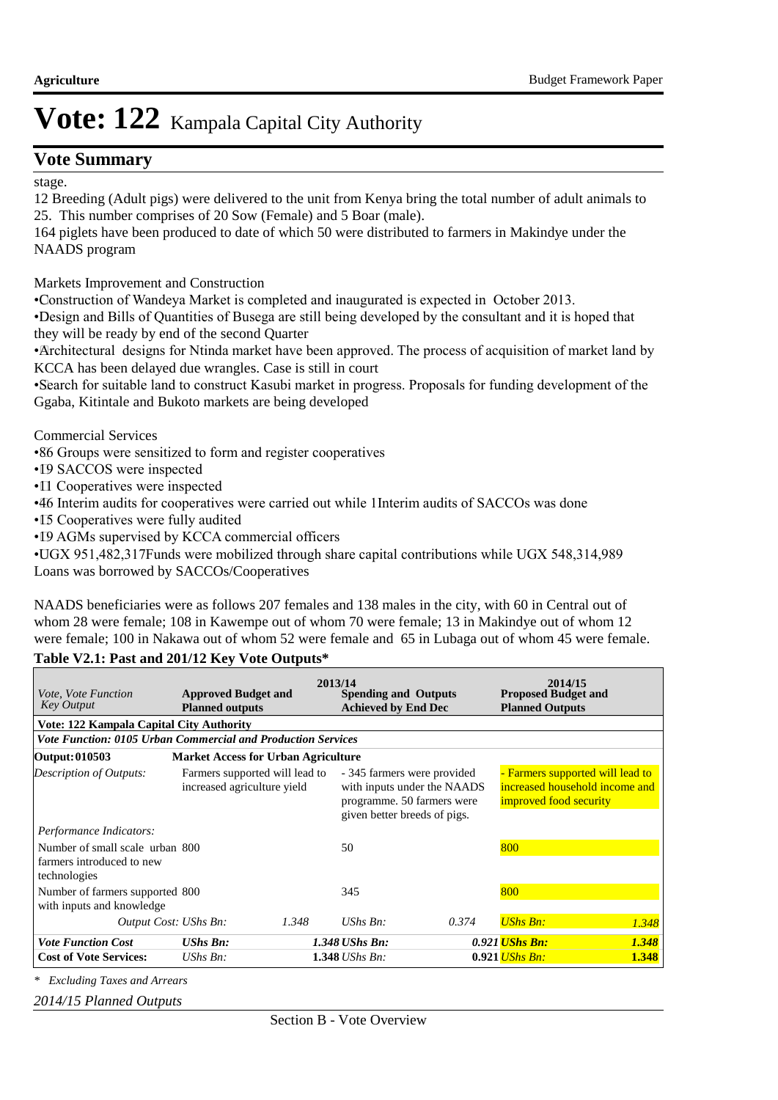# **Vote Summary**

stage.

12 Breeding (Adult pigs) were delivered to the unit from Kenya bring the total number of adult animals to 25. This number comprises of 20 Sow (Female) and 5 Boar (male).

164 piglets have been produced to date of which 50 were distributed to farmers in Makindye under the NAADS program

Markets Improvement and Construction

• Construction of Wandeya Market is completed and inaugurated is expected in October 2013.

• Design and Bills of Quantities of Busega are still being developed by the consultant and it is hoped that they will be ready by end of the second Quarter

• Architectural designs for Ntinda market have been approved. The process of acquisition of market land by KCCA has been delayed due wrangles. Case is still in court

• Search for suitable land to construct Kasubi market in progress. Proposals for funding development of the Ggaba, Kitintale and Bukoto markets are being developed

Commercial Services

• 86 Groups were sensitized to form and register cooperatives

• I9 SACCOS were inspected

•  $\Box$  Cooperatives were inspected

•46 Interim audits for cooperatives were carried out while 1Interim audits of SACCOs was done

- I5 Cooperatives were fully audited
- 19 AGMs supervised by KCCA commercial officers

• UGX 951,482,317Funds were mobilized through share capital contributions while UGX 548,314,989 Loans was borrowed by SACCOs/Cooperatives

NAADS beneficiaries were as follows 207 females and 138 males in the city, with 60 in Central out of whom 28 were female; 108 in Kawempe out of whom 70 were female; 13 in Makindye out of whom 12 were female; 100 in Nakawa out of whom 52 were female and 65 in Lubaga out of whom 45 were female.

### **Table V2.1: Past and 201/12 Key Vote Outputs\***

| <i>Vote, Vote Function</i><br><b>Key Output</b>                              | <b>Approved Budget and</b><br><b>Planned outputs</b>          |       | 2013/14<br><b>Spending and Outputs</b><br><b>Achieved by End Dec</b> |                                                                                          | 2014/15<br><b>Proposed Budget and</b><br><b>Planned Outputs</b>                              |       |  |
|------------------------------------------------------------------------------|---------------------------------------------------------------|-------|----------------------------------------------------------------------|------------------------------------------------------------------------------------------|----------------------------------------------------------------------------------------------|-------|--|
| <b>Vote: 122 Kampala Capital City Authority</b>                              |                                                               |       |                                                                      |                                                                                          |                                                                                              |       |  |
| <b>Vote Function: 0105 Urban Commercial and Production Services</b>          |                                                               |       |                                                                      |                                                                                          |                                                                                              |       |  |
| Output: 010503                                                               | <b>Market Access for Urban Agriculture</b>                    |       |                                                                      |                                                                                          |                                                                                              |       |  |
| Description of Outputs:                                                      | Farmers supported will lead to<br>increased agriculture yield |       | given better breeds of pigs.                                         | - 345 farmers were provided<br>with inputs under the NAADS<br>programme. 50 farmers were | - Farmers supported will lead to<br>increased household income and<br>improved food security |       |  |
| Performance Indicators:                                                      |                                                               |       |                                                                      |                                                                                          |                                                                                              |       |  |
| Number of small scale urban 800<br>farmers introduced to new<br>technologies |                                                               |       | 50                                                                   |                                                                                          | 800                                                                                          |       |  |
| Number of farmers supported 800<br>with inputs and knowledge                 |                                                               |       | 345                                                                  |                                                                                          | 800                                                                                          |       |  |
| Output Cost: UShs Bn:                                                        |                                                               | 1.348 | $UShs Bn$ :                                                          | 0.374                                                                                    | <b>UShs Bn:</b>                                                                              | 1.348 |  |
| <b>Vote Function Cost</b>                                                    | <b>UShs Bn:</b>                                               |       | 1.348 UShs Bn:                                                       |                                                                                          | 0.921 <i>UShs Bn:</i>                                                                        | 1.348 |  |
| <b>Cost of Vote Services:</b>                                                | UShs $Bn$ :                                                   |       | $1.348$ UShs Bn:                                                     |                                                                                          | $0.921$ UShs Bn:                                                                             | 1.348 |  |

*\* Excluding Taxes and Arrears*

*2014/15 Planned Outputs*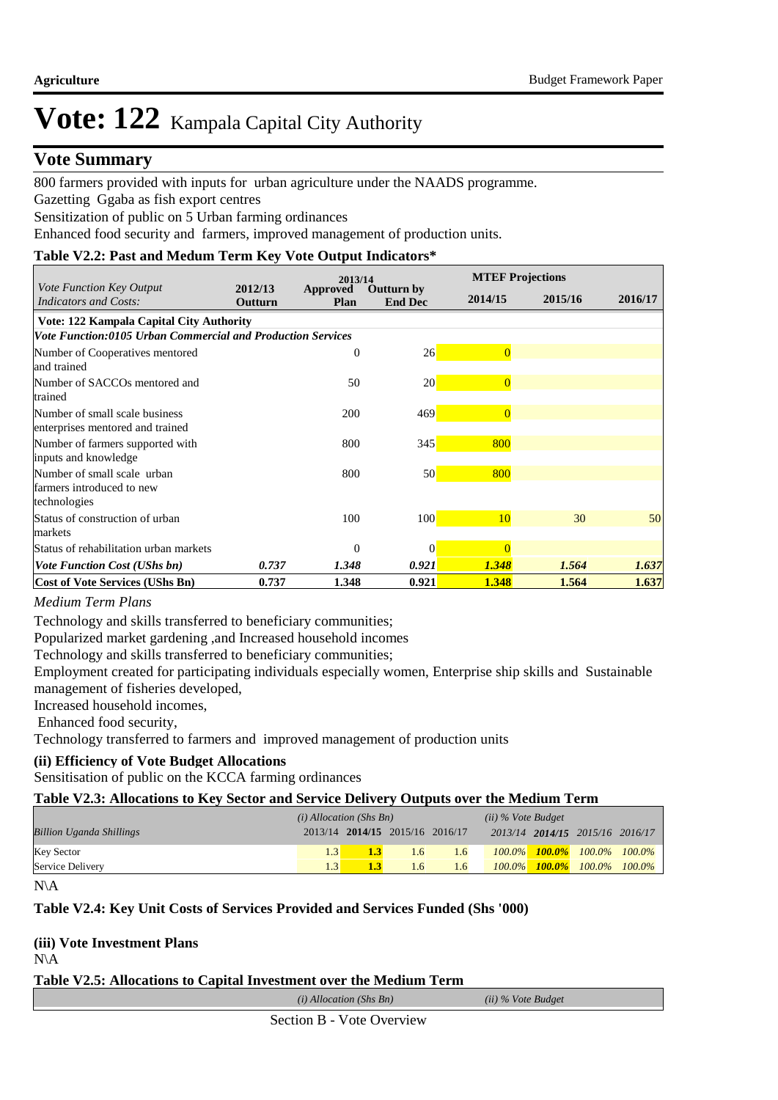### **Vote Summary**

800 farmers provided with inputs for urban agriculture under the NAADS programme.

Gazetting Ggaba as fish export centres

Sensitization of public on 5 Urban farming ordinances

Enhanced food security and farmers, improved management of production units.

### **Table V2.2: Past and Medum Term Key Vote Output Indicators\***

|                                                                          |                           | 2013/14          |                              |                | <b>MTEF Projections</b> |         |  |  |
|--------------------------------------------------------------------------|---------------------------|------------------|------------------------------|----------------|-------------------------|---------|--|--|
| Vote Function Key Output<br>Indicators and Costs:                        | 2012/13<br><b>Outturn</b> | Approved<br>Plan | Outturn by<br><b>End Dec</b> | 2014/15        | 2015/16                 | 2016/17 |  |  |
| Vote: 122 Kampala Capital City Authority                                 |                           |                  |                              |                |                         |         |  |  |
| <b>Vote Function:0105 Urban Commercial and Production Services</b>       |                           |                  |                              |                |                         |         |  |  |
| Number of Cooperatives mentored<br>and trained                           |                           | $\theta$         | 26                           | $\overline{0}$ |                         |         |  |  |
| Number of SACCOs mentored and<br>trained                                 |                           | 50               | 20 <sup>1</sup>              | $\overline{0}$ |                         |         |  |  |
| Number of small scale business<br>enterprises mentored and trained       |                           | 200              | 469                          | $\overline{0}$ |                         |         |  |  |
| Number of farmers supported with<br>inputs and knowledge                 |                           | 800              | 345                          | 800            |                         |         |  |  |
| Number of small scale urban<br>farmers introduced to new<br>technologies |                           | 800              | 50                           | 800            |                         |         |  |  |
| Status of construction of urban<br>markets                               |                           | 100              | 100                          | 10             | 30                      | 50      |  |  |
| Status of rehabilitation urban markets                                   |                           | $\theta$         | $\theta$                     | $\Omega$       |                         |         |  |  |
| <b>Vote Function Cost (UShs bn)</b>                                      | 0.737                     | 1.348            | 0.921                        | 1.348          | 1.564                   | 1.637   |  |  |
| <b>Cost of Vote Services (UShs Bn)</b>                                   | 0.737                     | 1.348            | 0.921                        | 1.348          | 1.564                   | 1.637   |  |  |

#### *Medium Term Plans*

Technology and skills transferred to beneficiary communities;

Popularized market gardening ,and Increased household incomes

Technology and skills transferred to beneficiary communities;

Employment created for participating individuals especially women, Enterprise ship skills and Sustainable management of fisheries developed,

Increased household incomes,

Enhanced food security,

Technology transferred to farmers and improved management of production units

### **(ii) Efficiency of Vote Budget Allocations**

Sensitisation of public on the KCCA farming ordinances

#### **Table V2.3: Allocations to Key Sector and Service Delivery Outputs over the Medium Term**

|                                 | $(i)$ Allocation (Shs Bn) |                                 |               |               | $(ii)$ % Vote Budget |  |                                         |  |
|---------------------------------|---------------------------|---------------------------------|---------------|---------------|----------------------|--|-----------------------------------------|--|
| <b>Billion Uganda Shillings</b> |                           | 2013/14 2014/15 2015/16 2016/17 |               |               |                      |  | 2013/14 2014/15 2015/16 2016/17         |  |
| <b>Key Sector</b>               |                           |                                 | $1.6^{\circ}$ | 1.6           |                      |  | $100.0\%$ $100.0\%$ $100.0\%$ $100.0\%$ |  |
| Service Delivery                |                           |                                 | 1.6           | $1.6^{\circ}$ |                      |  | $100.0\%$ $100.0\%$ $100.0\%$ $100.0\%$ |  |

```
N\A
```
#### **Table V2.4: Key Unit Costs of Services Provided and Services Funded (Shs '000)**

### **(iii) Vote Investment Plans**

N\A

### **Table V2.5: Allocations to Capital Investment over the Medium Term**

*(i) Allocation (Shs Bn) (ii) % Vote Budget*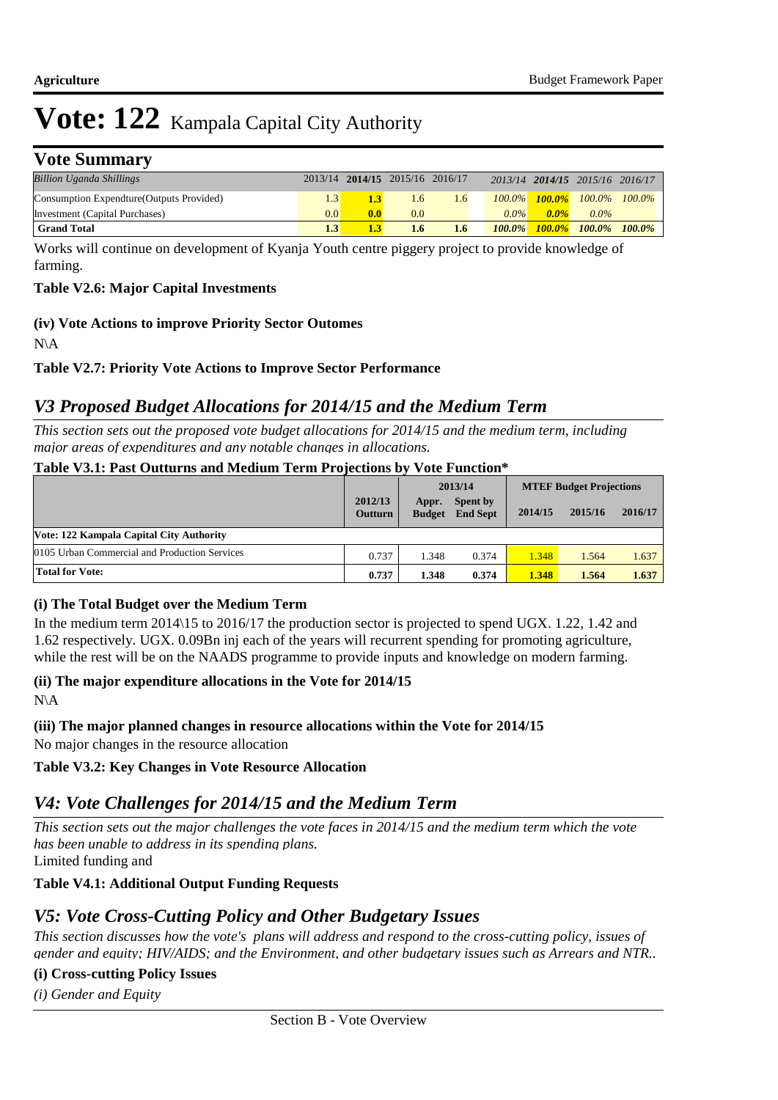# **Vote Summary**

| <b>Billion Uganda Shillings</b>           |     |     | 2013/14 2014/15 2015/16 2016/17 |                  |           |         | 2013/14 2014/15 2015/16 2016/17 |                                         |
|-------------------------------------------|-----|-----|---------------------------------|------------------|-----------|---------|---------------------------------|-----------------------------------------|
| Consumption Expendture (Outputs Provided) |     |     | 1.6                             | 1.6              |           |         |                                 | $100.0\%$ $100.0\%$ $100.0\%$ $100.0\%$ |
| Investment (Capital Purchases)            | 0.0 | 0.0 | 0.0                             |                  | $0.0\%$   | $0.0\%$ | $0.0\%$                         |                                         |
| <b>Grand Total</b>                        |     |     | 1.6                             | $1.6\phantom{0}$ | $100.0\%$ |         | 100.0% 100.0% 100.0%            |                                         |

Works will continue on development of Kyanja Youth centre piggery project to provide knowledge of farming.

### **Table V2.6: Major Capital Investments**

**(iv) Vote Actions to improve Priority Sector Outomes**

N\A

### **Table V2.7: Priority Vote Actions to Improve Sector Performance**

# *V3 Proposed Budget Allocations for 2014/15 and the Medium Term*

*This section sets out the proposed vote budget allocations for 2014/15 and the medium term, including major areas of expenditures and any notable changes in allocations.* 

### **Table V3.1: Past Outturns and Medium Term Projections by Vote Function\***

|                                               |                           |                        | 2013/14                            | <b>MTEF Budget Projections</b> |         |         |
|-----------------------------------------------|---------------------------|------------------------|------------------------------------|--------------------------------|---------|---------|
|                                               | 2012/13<br><b>Outturn</b> | Appr.<br><b>Budget</b> | <b>Spent by</b><br><b>End Sept</b> | 2014/15                        | 2015/16 | 2016/17 |
| Vote: 122 Kampala Capital City Authority      |                           |                        |                                    |                                |         |         |
| 0105 Urban Commercial and Production Services | 0.737                     | 1.348                  | 0.374                              | 1.348                          | 1.564   | 1.637   |
| <b>Total for Vote:</b>                        | 0.737                     | 1.348                  | 0.374                              | 1.348                          | 1.564   | 1.637   |

#### **(i) The Total Budget over the Medium Term**

In the medium term 2014\15 to 2016/17 the production sector is projected to spend UGX. 1.22, 1.42 and 1.62 respectively. UGX. 0.09Bn inj each of the years will recurrent spending for promoting agriculture, while the rest will be on the NAADS programme to provide inputs and knowledge on modern farming.

# **(ii) The major expenditure allocations in the Vote for 2014/15**

N\A

**(iii) The major planned changes in resource allocations within the Vote for 2014/15**

No major changes in the resource allocation

# **Table V3.2: Key Changes in Vote Resource Allocation**

# *V4: Vote Challenges for 2014/15 and the Medium Term*

Limited funding and *This section sets out the major challenges the vote faces in 2014/15 and the medium term which the vote has been unable to address in its spending plans.*

# **Table V4.1: Additional Output Funding Requests**

# *V5: Vote Cross-Cutting Policy and Other Budgetary Issues*

*This section discusses how the vote's plans will address and respond to the cross-cutting policy, issues of gender and equity; HIV/AIDS; and the Environment, and other budgetary issues such as Arrears and NTR..* 

### **(i) Cross-cutting Policy Issues**

*(i) Gender and Equity*